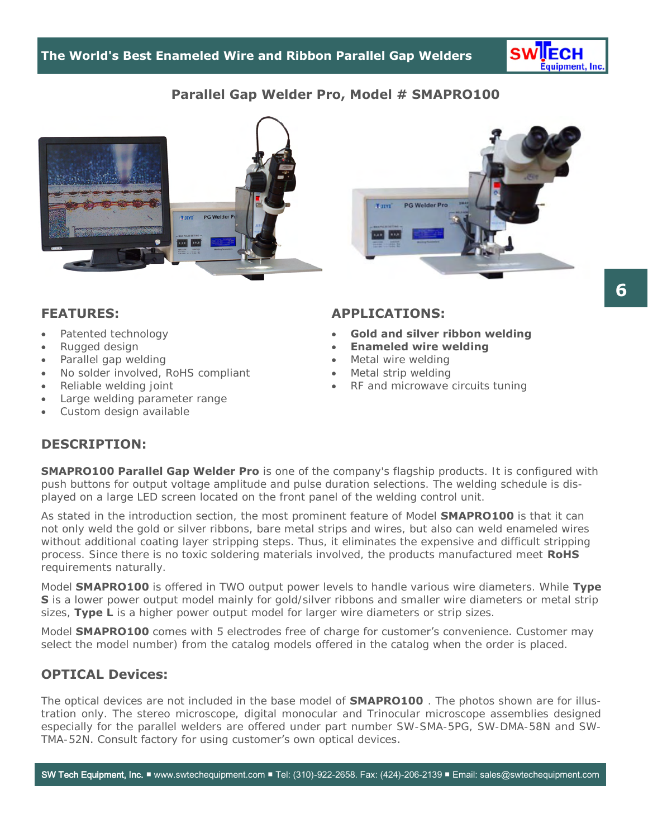

# **Parallel Gap Welder Pro, Model # SMAPRO100**



#### **FEATURES:**

- Patented technology
- Rugged design
- Parallel gap welding
- No solder involved, RoHS compliant
- Reliable welding joint
- Large welding parameter range
- Custom design available

#### **APPLICATIONS:**

- **Gold and silver ribbon welding**
- **Enameled wire welding**
- Metal wire welding
- Metal strip welding
- RF and microwave circuits tuning

# **DESCRIPTION:**

**SMAPRO100 Parallel Gap Welder Pro** is one of the company's flagship products. It is configured with push buttons for output voltage amplitude and pulse duration selections. The welding schedule is displayed on a large LED screen located on the front panel of the welding control unit.

As stated in the introduction section, the most prominent feature of Model **SMAPRO100** is that it can not only weld the gold or silver ribbons, bare metal strips and wires, but also can weld enameled wires without additional coating layer stripping steps. Thus, it eliminates the expensive and difficult stripping process. Since there is no toxic soldering materials involved, the products manufactured meet **RoHS** requirements naturally.

Model **SMAPRO100** is offered in TWO output power levels to handle various wire diameters. While **Type S** is a lower power output model mainly for gold/silver ribbons and smaller wire diameters or metal strip sizes, **Type L** is a higher power output model for larger wire diameters or strip sizes.

Model **SMAPRO100** comes with 5 electrodes free of charge for customer's convenience. Customer may select the model number) from the catalog models offered in the catalog when the order is placed.

### **OPTICAL Devices:**

The optical devices are not included in the base model of **SMAPRO100** . The photos shown are for illustration only. The stereo microscope, digital monocular and Trinocular microscope assemblies designed especially for the parallel welders are offered under part number SW-SMA-5PG, SW-DMA-58N and SW-TMA-52N. Consult factory for using customer's own optical devices.